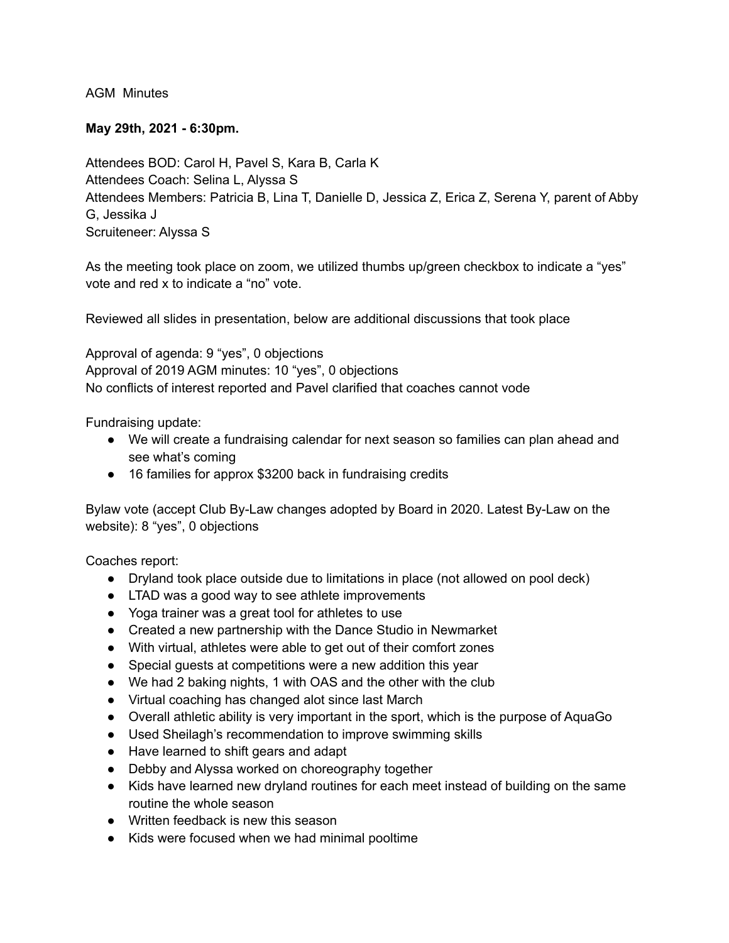AGM Minutes

## **May 29th, 2021 - 6:30pm.**

Attendees BOD: Carol H, Pavel S, Kara B, Carla K Attendees Coach: Selina L, Alyssa S Attendees Members: Patricia B, Lina T, Danielle D, Jessica Z, Erica Z, Serena Y, parent of Abby G, Jessika J Scruiteneer: Alyssa S

As the meeting took place on zoom, we utilized thumbs up/green checkbox to indicate a "yes" vote and red x to indicate a "no" vote.

Reviewed all slides in presentation, below are additional discussions that took place

Approval of agenda: 9 "yes", 0 objections Approval of 2019 AGM minutes: 10 "yes", 0 objections No conflicts of interest reported and Pavel clarified that coaches cannot vode

Fundraising update:

- We will create a fundraising calendar for next season so families can plan ahead and see what's coming
- 16 families for approx \$3200 back in fundraising credits

Bylaw vote (accept Club By-Law changes adopted by Board in 2020. Latest By-Law on the website): 8 "yes", 0 objections

Coaches report:

- Dryland took place outside due to limitations in place (not allowed on pool deck)
- LTAD was a good way to see athlete improvements
- Yoga trainer was a great tool for athletes to use
- Created a new partnership with the Dance Studio in Newmarket
- With virtual, athletes were able to get out of their comfort zones
- Special guests at competitions were a new addition this year
- We had 2 baking nights, 1 with OAS and the other with the club
- Virtual coaching has changed alot since last March
- Overall athletic ability is very important in the sport, which is the purpose of AquaGo
- Used Sheilagh's recommendation to improve swimming skills
- Have learned to shift gears and adapt
- Debby and Alyssa worked on choreography together
- Kids have learned new dryland routines for each meet instead of building on the same routine the whole season
- Written feedback is new this season
- Kids were focused when we had minimal pooltime